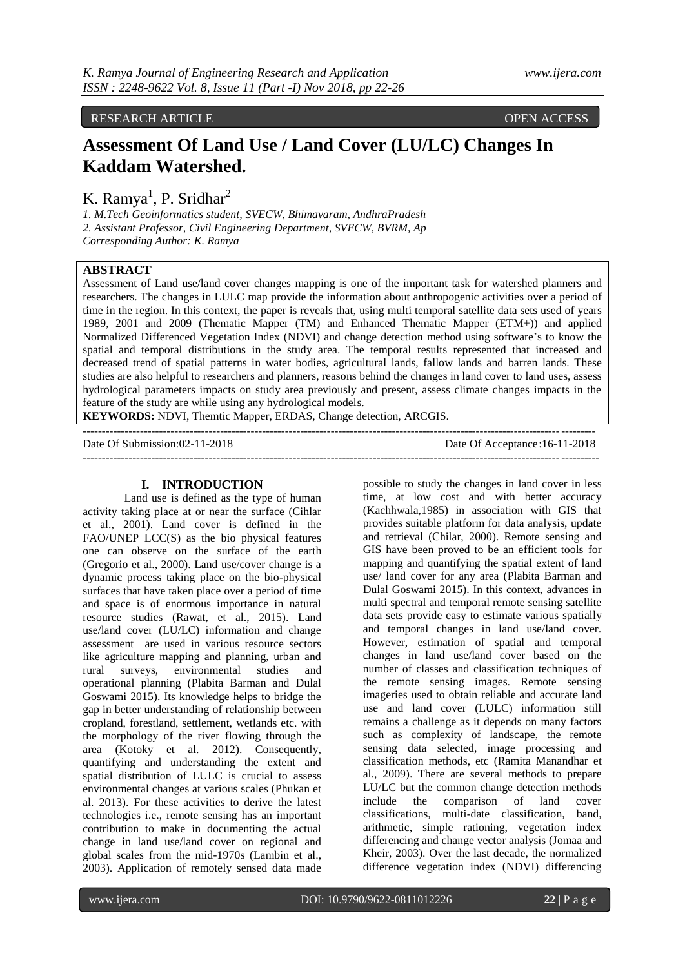RESEARCH ARTICLE **CONTRACT ARTICLE** 

# **Assessment Of Land Use / Land Cover (LU/LC) Changes In Kaddam Watershed.**

K. Ramya<sup>1</sup>, P. Sridhar<sup>2</sup>

*1. M.Tech Geoinformatics student, SVECW, Bhimavaram, AndhraPradesh 2. Assistant Professor, Civil Engineering Department, SVECW, BVRM, Ap Corresponding Author: K. Ramya*

# **ABSTRACT**

Assessment of Land use/land cover changes mapping is one of the important task for watershed planners and researchers. The changes in LULC map provide the information about anthropogenic activities over a period of time in the region. In this context, the paper is reveals that, using multi temporal satellite data sets used of years 1989, 2001 and 2009 (Thematic Mapper (TM) and Enhanced Thematic Mapper (ETM+)) and applied Normalized Differenced Vegetation Index (NDVI) and change detection method using software's to know the spatial and temporal distributions in the study area. The temporal results represented that increased and decreased trend of spatial patterns in water bodies, agricultural lands, fallow lands and barren lands. These studies are also helpful to researchers and planners, reasons behind the changes in land cover to land uses, assess hydrological parameters impacts on study area previously and present, assess climate changes impacts in the feature of the study are while using any hydrological models.

---------------------------------------------------------------------------------------------------------------------------------------

**KEYWORDS:** NDVI, Themtic Mapper, ERDAS, Change detection, ARCGIS. --------------------------------------------------------------------------------------------------------------------------------------

Date Of Submission:02-11-2018 Date Of Acceptance:16-11-2018

#### **I. INTRODUCTION**

Land use is defined as the type of human activity taking place at or near the surface (Cihlar et al., 2001). Land cover is defined in the FAO/UNEP LCC(S) as the bio physical features one can observe on the surface of the earth (Gregorio et al., 2000). Land use/cover change is a dynamic process taking place on the bio-physical surfaces that have taken place over a period of time and space is of enormous importance in natural resource studies [\(Rawat,](http://www.sciencedirect.com/science/article/pii/S1110982313000069) et al., 2015). Land use/land cover (LU/LC) information and change assessment are used in various resource sectors like agriculture mapping and planning, urban and rural surveys, environmental studies and operational planning (Plabita Barman and Dulal Goswami 2015). Its knowledge helps to bridge the gap in better understanding of relationship between cropland, forestland, settlement, wetlands etc. with the morphology of the river flowing through the area (Kotoky et al. 2012). Consequently, quantifying and understanding the extent and spatial distribution of LULC is crucial to assess environmental changes at various scales (Phukan et al. 2013). For these activities to derive the latest technologies i.e., remote sensing has an important contribution to make in documenting the actual change in land use/land cover on regional and global scales from the mid-1970s (Lambin et al., 2003). Application of remotely sensed data made

possible to study the changes in land cover in less time, at low cost and with better accuracy (Kachhwala,1985) in association with GIS that provides suitable platform for data analysis, update and retrieval (Chilar, 2000). Remote sensing and GIS have been proved to be an efficient tools for mapping and quantifying the spatial extent of land use/ land cover for any area (Plabita Barman and Dulal Goswami 2015). In this context, advances in multi spectral and temporal remote sensing satellite data sets provide easy to estimate various spatially and temporal changes in land use/land cover. However, estimation of spatial and temporal changes in land use/land cover based on the number of classes and classification techniques of the remote sensing images. Remote sensing imageries used to obtain reliable and accurate land use and land cover (LULC) information still remains a challenge as it depends on many factors such as complexity of landscape, the remote sensing data selected, image processing and classification methods, etc (Ramita Manandhar et al., 2009). There are several methods to prepare LU/LC but the common change detection methods include the comparison of land cover classifications, multi-date classification, band, arithmetic, simple rationing, vegetation index differencing and change vector analysis (Jomaa and Kheir, 2003). Over the last decade, the normalized difference vegetation index (NDVI) differencing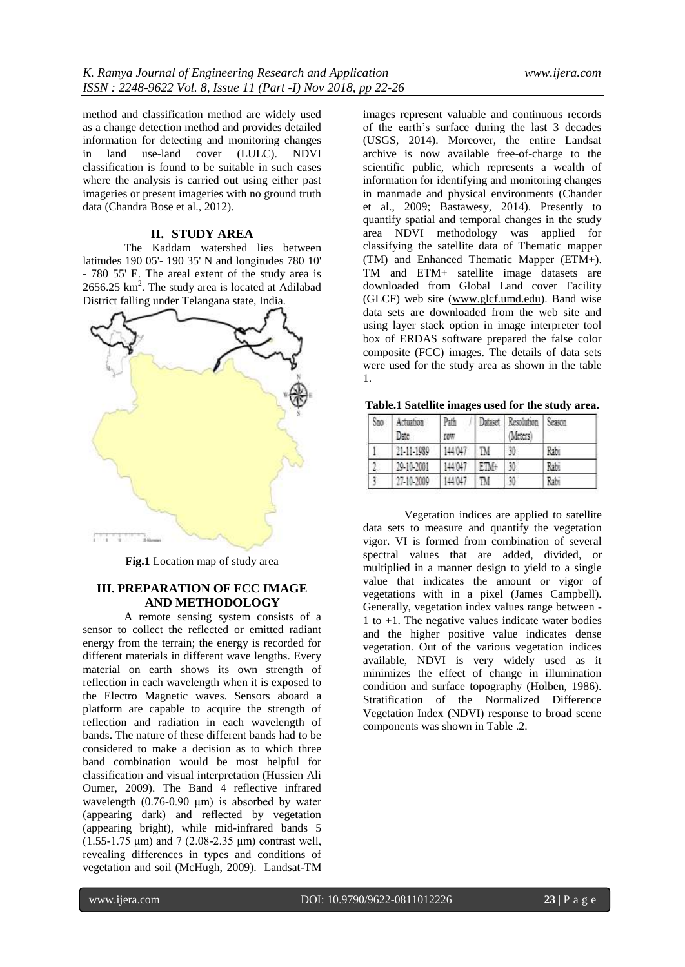method and classification method are widely used as a change detection method and provides detailed information for detecting and monitoring changes in land use-land cover (LULC). NDVI classification is found to be suitable in such cases where the analysis is carried out using either past imageries or present imageries with no ground truth data (Chandra Bose et al., 2012).

#### **II. STUDY AREA**

The Kaddam watershed lies between latitudes 190 05'- 190 35' N and longitudes 780 10' - 780 55' E. The areal extent of the study area is  $2656.25$  km<sup>2</sup>. The study area is located at Adilabad District falling under Telangana state, India.



**Fig.1** Location map of study area

# **III. PREPARATION OF FCC IMAGE AND METHODOLOGY**

A remote sensing system consists of a

sensor to collect the reflected or emitted radiant energy from the terrain; the energy is recorded for different materials in different wave lengths. Every material on earth shows its own strength of reflection in each wavelength when it is exposed to the Electro Magnetic waves. Sensors aboard a platform are capable to acquire the strength of reflection and radiation in each wavelength of bands. The nature of these different bands had to be considered to make a decision as to which three band combination would be most helpful for classification and visual interpretation (Hussien Ali Oumer, 2009). The Band 4 reflective infrared wavelength (0.76-0.90 μm) is absorbed by water (appearing dark) and reflected by vegetation (appearing bright), while mid-infrared bands 5 (1.55-1.75 μm) and 7 (2.08-2.35 μm) contrast well, revealing differences in types and conditions of vegetation and soil (McHugh, 2009). Landsat-TM

images represent valuable and continuous records of the earth's surface during the last 3 decades (USGS, 2014). Moreover, the entire Landsat archive is now available free-of-charge to the scientific public, which represents a wealth of information for identifying and monitoring changes in manmade and physical environments (Chander et al., 2009; Bastawesy, 2014). Presently to quantify spatial and temporal changes in the study area NDVI methodology was applied for classifying the satellite data of Thematic mapper (TM) and Enhanced Thematic Mapper (ETM+). TM and ETM+ satellite image datasets are downloaded from Global Land cover Facility (GLCF) web site [\(www.glcf.umd.edu\)](http://www.glcf.umd.edu/). Band wise data sets are downloaded from the web site and using layer stack option in image interpreter tool box of ERDAS software prepared the false color composite (FCC) images. The details of data sets were used for the study area as shown in the table 1.

|  | Table.1 Satellite images used for the study area. |  |  |  |  |  |  |
|--|---------------------------------------------------|--|--|--|--|--|--|
|--|---------------------------------------------------|--|--|--|--|--|--|

| Szo | Actuation<br>Date | Path<br>f0W | Dataset | Resolution<br>Meters | Season |
|-----|-------------------|-------------|---------|----------------------|--------|
|     | 21-11-1989        | 144047      | TM.     | 30                   | Rabi   |
| 0   | 29-10-2001        | 144047      | ETM+    | 30                   | Rabi   |
|     | 27-10-2009        | 44/047      | M       | 30                   | Rabi   |

Vegetation indices are applied to satellite data sets to measure and quantify the vegetation vigor. VI is formed from combination of several spectral values that are added, divided, or multiplied in a manner design to yield to a single value that indicates the amount or vigor of vegetations with in a pixel (James Campbell). Generally, vegetation index values range between - 1 to +1. The negative values indicate water bodies and the higher positive value indicates dense vegetation. Out of the various vegetation indices available, NDVI is very widely used as it minimizes the effect of change in illumination condition and surface topography (Holben, 1986). Stratification of the Normalized Difference Vegetation Index (NDVI) response to broad scene components was shown in Table .2.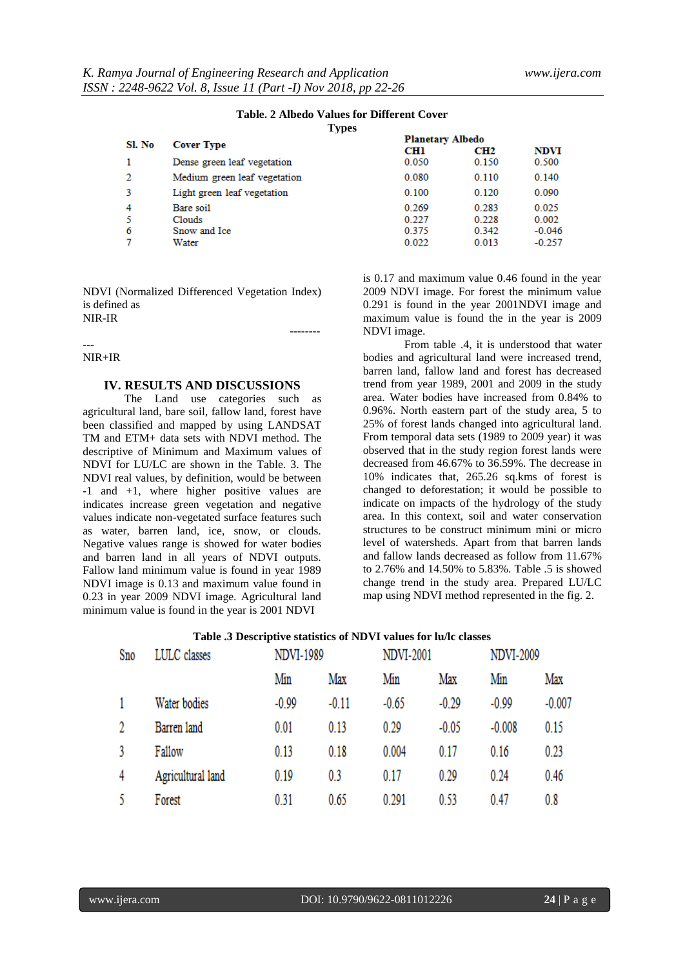## **Table. 2 Albedo Values for Different Cover**

**Types**

| Sl. No |                              | <b>Planetary Albedo</b> |                 |             |  |
|--------|------------------------------|-------------------------|-----------------|-------------|--|
|        | <b>Cover Type</b>            | <b>CHI</b>              | CH <sub>2</sub> | <b>NDVI</b> |  |
|        | Dense green leaf vegetation  | 0.050                   | 0.150           | 0.500       |  |
| 2      | Medium green leaf vegetation | 0.080                   | 0.110           | 0.140       |  |
| 3      | Light green leaf vegetation  | 0.100                   | 0.120           | 0.090       |  |
| 4      | Bare soil                    | 0.269                   | 0.283           | 0.025       |  |
| 5      | Clouds                       | 0.227                   | 0.228           | 0.002       |  |
| 6      | Snow and Ice                 | 0.375                   | 0.342           | $-0.046$    |  |
|        | Water                        | 0.022                   | 0.013           | $-0.257$    |  |

NDVI (Normalized Differenced Vegetation Index) is defined as NIR-IR

--------

--- NIR+IR

#### **IV. RESULTS AND DISCUSSIONS**

The Land use categories such as agricultural land, bare soil, fallow land, forest have been classified and mapped by using LANDSAT TM and ETM+ data sets with NDVI method. The descriptive of Minimum and Maximum values of NDVI for LU/LC are shown in the Table. 3. The NDVI real values, by definition, would be between -1 and +1, where higher positive values are indicates increase green vegetation and negative values indicate non-vegetated surface features such as water, barren land, ice, snow, or clouds. Negative values range is showed for water bodies and barren land in all years of NDVI outputs. Fallow land minimum value is found in year 1989 NDVI image is 0.13 and maximum value found in 0.23 in year 2009 NDVI image. Agricultural land minimum value is found in the year is 2001 NDVI

is 0.17 and maximum value 0.46 found in the year 2009 NDVI image. For forest the minimum value 0.291 is found in the year 2001NDVI image and maximum value is found the in the year is 2009 NDVI image.

From table .4, it is understood that water bodies and agricultural land were increased trend, barren land, fallow land and forest has decreased trend from year 1989, 2001 and 2009 in the study area. Water bodies have increased from 0.84% to 0.96%. North eastern part of the study area, 5 to 25% of forest lands changed into agricultural land. From temporal data sets (1989 to 2009 year) it was observed that in the study region forest lands were decreased from 46.67% to 36.59%. The decrease in 10% indicates that, 265.26 sq.kms of forest is changed to deforestation; it would be possible to indicate on impacts of the hydrology of the study area. In this context, soil and water conservation structures to be construct minimum mini or micro level of watersheds. Apart from that barren lands and fallow lands decreased as follow from 11.67% to 2.76% and 14.50% to 5.83%. Table .5 is showed change trend in the study area. Prepared LU/LC map using NDVI method represented in the fig. 2.

|     | <b>Lable </b> Descriptive statistics of TO VI values for fu/ic classes |         |           |         |                  |          |                  |  |
|-----|------------------------------------------------------------------------|---------|-----------|---------|------------------|----------|------------------|--|
| Sno | LULC classes                                                           |         | NDVI-1989 |         | <b>NDVI-2001</b> |          | <b>NDVI-2009</b> |  |
|     |                                                                        | Min     | Max       | Min     | Max              | Min      | Max              |  |
|     | Water bodies                                                           | $-0.99$ | $-0.11$   | $-0.65$ | $-0.29$          | $-0.99$  | $-0.007$         |  |
| 2   | Barren land                                                            | 0.01    | 0.13      | 0.29    | $-0.05$          | $-0.008$ | 0.15             |  |
|     | Fallow                                                                 | 0.13    | 0.18      | 0.004   | 0.17             | 0.16     | 0.23             |  |
| 4   | Agricultural land                                                      | 0.19    | 0.3       | 0.17    | 0.29             | 0.24     | 0.46             |  |
|     | Forest                                                                 | 0.31    | 0.65      | 0.291   | 0.53             | 0.47     | 0.8              |  |

### **Table .3 Descriptive statistics of NDVI values for lu/lc classes**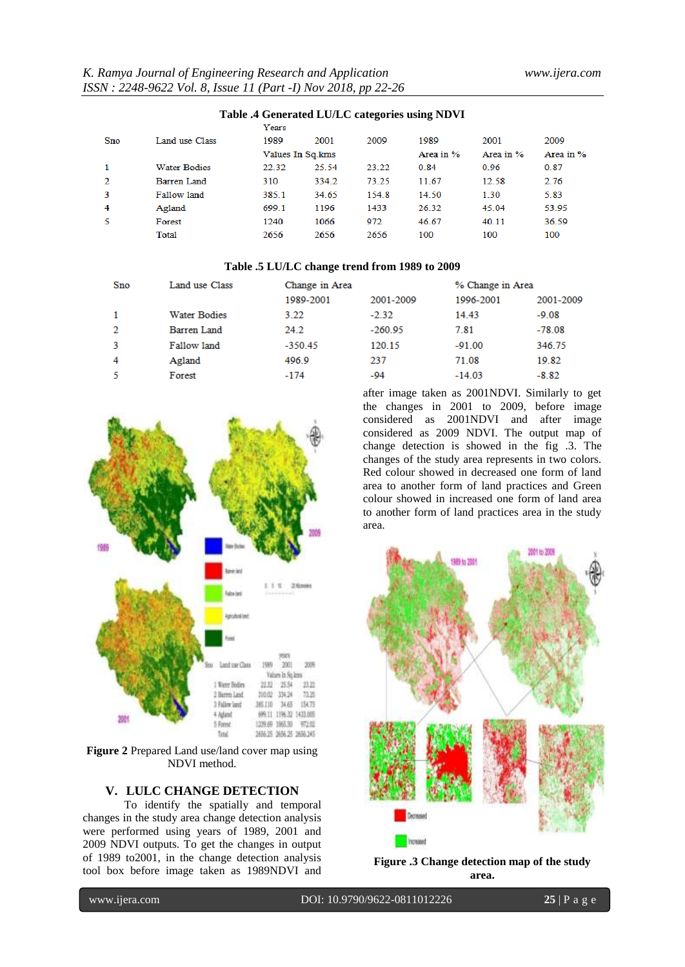| Table is ocherance Lorde can going asing the vi |                     |       |                  |       |           |           |           |  |
|-------------------------------------------------|---------------------|-------|------------------|-------|-----------|-----------|-----------|--|
|                                                 |                     | Years |                  |       |           |           |           |  |
| Sno                                             | Land use Class      | 1989  | 2001             | 2009  | 1989      | 2001      | 2009      |  |
|                                                 |                     |       | Values In Sq.kms |       | Area in % | Area in % | Area in % |  |
| 1                                               | <b>Water Bodies</b> | 22.32 | 25.54            | 23.22 | 0.84      | 0.96      | 0.87      |  |
| $\mathbf{2}$                                    | Barren Land         | 310   | 334.2            | 73.25 | 11.67     | 12.58     | 2.76      |  |
| 3                                               | Fallow land         | 385.1 | 34.65            | 154.8 | 14.50     | 1.30      | 5.83      |  |
| 4                                               | Agland              | 699.1 | 1196             | 1433  | 26.32     | 45.04     | 53.95     |  |
| 5                                               | Forest              | 1240  | 1066             | 972   | 46.67     | 40.11     | 36.59     |  |
|                                                 | Total               | 2656  | 2656             | 2656  | 100       | 100       | 100       |  |
|                                                 |                     |       |                  |       |           |           |           |  |

# **Table .4 Generated LU/LC categories using NDVI**

#### **Table .5 LU/LC change trend from 1989 to 2009**

| Land use Class |           |           |                | % Change in Area |  |  |
|----------------|-----------|-----------|----------------|------------------|--|--|
|                | 1989-2001 | 2001-2009 | 1996-2001      | 2001-2009        |  |  |
| Water Bodies   | 3.22      | $-2.32$   | 14.43          | $-9.08$          |  |  |
| Barren Land    | 24.2      | $-260.95$ | 7.81           | $-78.08$         |  |  |
| Fallow land    | $-350.45$ | 120 15    | $-91.00$       | 346.75           |  |  |
| Agland         | 496.9     | 237       | 71.08          | 19.82            |  |  |
| Forest         | $-174$    | $-94$     | $-14.03$       | $-8.82$          |  |  |
|                |           |           | Change in Area |                  |  |  |



**Figure 2** Prepared Land use/land cover map using NDVI method.

# **V. LULC CHANGE DETECTION**

To identify the spatially and temporal changes in the study area change detection analysis were performed using years of 1989, 2001 and 2009 NDVI outputs. To get the changes in output of 1989 to2001, in the change detection analysis tool box before image taken as 1989NDVI and

after image taken as 2001NDVI. Similarly to get the changes in 2001 to 2009, before image considered as 2001NDVI and after image considered as 2009 NDVI. The output map of change detection is showed in the fig .3. The changes of the study area represents in two colors. Red colour showed in decreased one form of land area to another form of land practices and Green colour showed in increased one form of land area to another form of land practices area in the study area.



**Figure .3 Change detection map of the study area.**